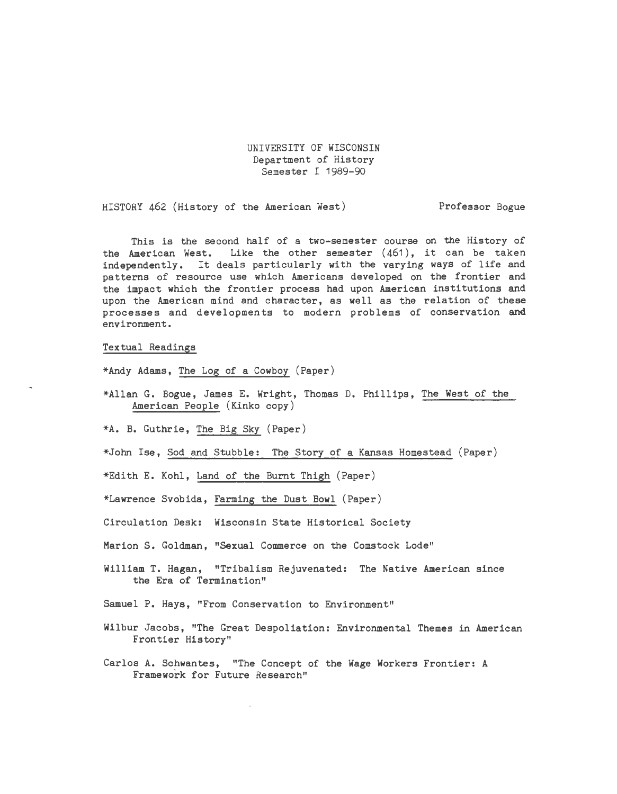UNIVERSITY OF WISCONSIN Department of History Semester I 1989-90

HISTORY 462 (History of the American West) Professor Bogue

This is the second half of a two-semester course on the History of the American West. Like the other semester (461), it can be taken independently. It deals particularly with the varying ways of life and patterns of resource use which Americans developed on the frontier and the impact which the frontier process had upon American institutions and upon the American mind and character, as well as the relation of these processes and developments to modern problems of conservation and environment.

### Textual Readings

\*Andy Adams, The Log of a Cowboy (Paper)

\*Allan G. Bogue, James E. Wright, Thomas D. Phillips, The West of the American People (Kinko copy)

\*A. B. Guthrie, The Big Sky (Paper)

\*John Ise, Sod and Stubble: The Story of a Kansas Homestead (Paper)

\*Edith E. Kohl, Land of the Burnt Thigh (Paper)

\*Lawrence Svobida, Farming the Dust Bowl (Paper)

Circulation Desk: Wisconsin State Historical Society

Marion S. Goldman, "Sexual Commerce on the Comstock Lode"

William T. Hagan, "Tribalism Rejuvenated: The Native American since the Era of Termination"

Samuel P. Hays, "From Conservation to Environment"

- Wilbur Jacobs, "The Great Despoliation: Environmental Themes in American Frontier History"
- Carlos A. Schwantes, "The Concept of the Wage Workers Frontier: A Framework for Future Research"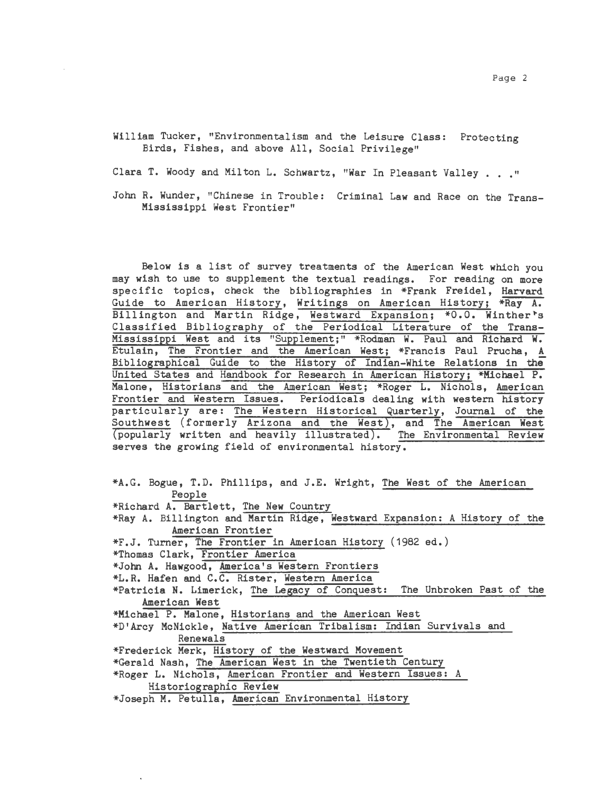William Tucker, "Environmentalism and the Leisure Class: Protecting Birds, Fishes, and above All, Social Privilege"

Clara T. Woody and Milton L. Schwartz, "War In Pleasant Valley . . . "

John R. Wunder, "Chinese in Trouble: Criminal Law and Race on the Trans-Mississippi West Frontier"

Below is a list of survey treatments of the American West which you may wish to use to supplement the textual readings. For reading on more specific topics, check the bibliographies in \*Frank Freidel, Harvard Guide to American History, Writings on American History; \*Ray A. Billington and Martin Ridge, Westward Expansion; \*0.0. Winther's Classified Bibliography of the Periodical Literature of the Trans-Mississippi West and its "Supplement;" \*Rodman W. Paul and Richard W. Etulain, The Frontier and the American West; \*Francis Paul Prucha, A Bibliographical Guide to the History of Indian-White Relations in the United States and Handbook for Research in American History; \*Michael P. Malone, Historians and the American West; \*Roger L. Nichols, American Frontier and Western Issues. Periodicals dealing with western history particularly are: The Western Historical Quarterly, Journal of the Southwest (formerly Arizona and the West), and The American West (popularly written and heavily illustrated). The Environmental Review serves the growing field of environmental history.

\*A.G. Bogue, T.D. Phillips, and J.E. Wright, The West of the American People \*Richard A. Bartlett, The New Country \*Ray A. Billington and Martin Ridge, Westward Expansion: A History of the American Frontier \*F.J. Turner, The Frontier in American History (1982 ed.) \*Thomas Clark, Frontier America \*John A. Hawgood, America's Western Frontiers \*L.R. Hafen and C.C. Rister, Western America \*Patricia N. Limerick, The Legacy of Conquest: The Unbroken Past of the American West \*Michael P. Malone, Historians and the American West \*D'Arcy McNickle, Native American Tribalism: Indian Survivals and Renewals \*Frederick Merk, History of the Westward Movement \*Gerald Nash, The American West in the Twentieth Century \*Roger L. Nichols, American Frontier and Western Issues: A Historiographic Review \*Joseph M. Petulla, American Environmental History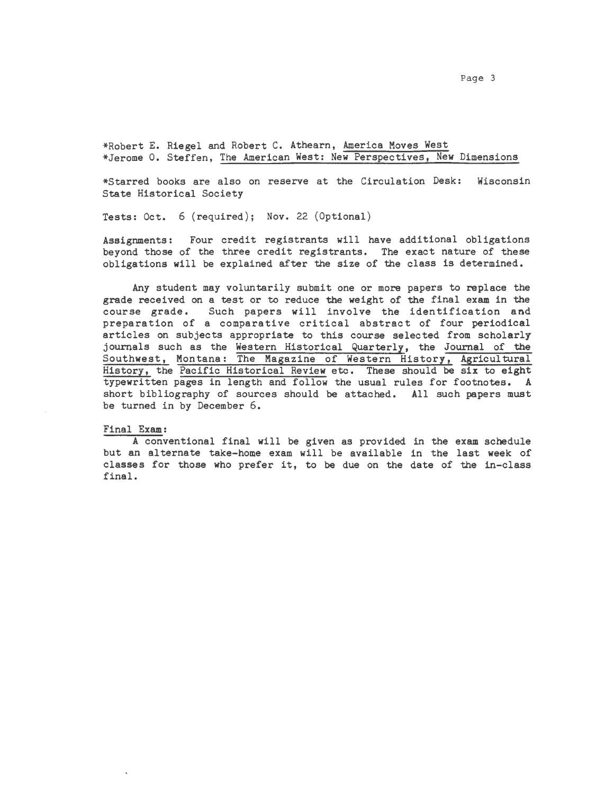Page 3

\*Robert E. Riegel and Robert C. Athearn, America Moves West \*Jerome 0. Steffen, The American West: New Perspectives, New Dimensions

\*Starred books are also on reserve at the Circulation Desk: Wisconsin State Historical Society

Tests: Oct. 6 (required); Nov. 22 (Optional)

Assignments: Four credit registrants will have additional obligations beyond those of the three credit registrants. The exact nature of these obligations will be explained after the size of the class is determined.

Any student may voluntarily submit one or more papers to replace the grade received on a test or to reduce the weight of the final exam in the course grade. Such papers will involve the identification and preparation of a comparative critical abstract of four periodical articles on subjects appropriate to this course selected from scholarly journals such as the Western Historical Quarterly, the Journal of the Southwest, Montana: The Magazine of Western History, Agricultural History, the Pacific Historical Review etc. These should be six to eight typewritten pages in length and follow the usual rules for footnotes. A short bibliography of sources should be attached. All such papers must be turned in by December 6.

#### Final Exam:

A conventional final will be given as provided in the exam schedule but an alternate take-home exam will be available in the last week of classes for those who prefer it, to be due on the date of the in-class final.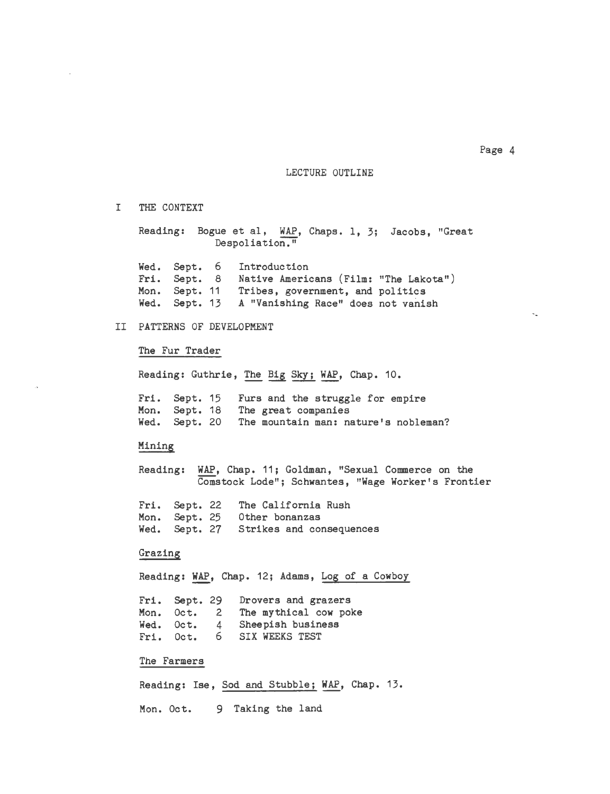LECTURE OUTLINE

I THE CONTEXT

Reading: Bogue et al, WAP, Chaps. 1, 3; Jacobs, "Great Despoliation."

Wed. Sept. 6 Fri. Sept. 8 Native Americans (Film: "The Lakota") Mon. Sept. 11 Wed. Sept. 13 A "Vanishing Race" does not vanish Introduction Tribes, government, and politics

## II PATTERNS OF DEVELOPMENT

### The Fur Trader

Reading: Guthrie, The Big Sky; WAP, Chap. 10.

Fri. Sept. 15 Mon. Sept. 18 The great companies Wed. Sept. 20 The mountain man: nature's nobleman? Furs and the struggle for empire

#### Mining

Reading: WAP, Chap. 11; Goldman, "Sexual Commerce on the Comstock Lode"; Schwantes, "Wage Worker's Frontier

Fri. Sept. 22 Mon. Sept. 25 Wed. Sept. 27 Strikes and consequences The California Rush Other bonanzas

#### Grazing

Reading: WAP, Chap. 12; Adams, Log of a Cowboy

Fri. Sept. 29 Mon. Oct. 2 The mythical cow poke Wed. Oct. 4 Fri. Oct. 6 Drovers and grazers Sheepish business 6 SIX WEEKS TEST

### The Farmers

Reading: Ise, Sod and Stubble; WAP, Chap. 13. Mon. Oct. 9 Taking the land

Page 4

 $\mathcal{L}_{\mathcal{A}}$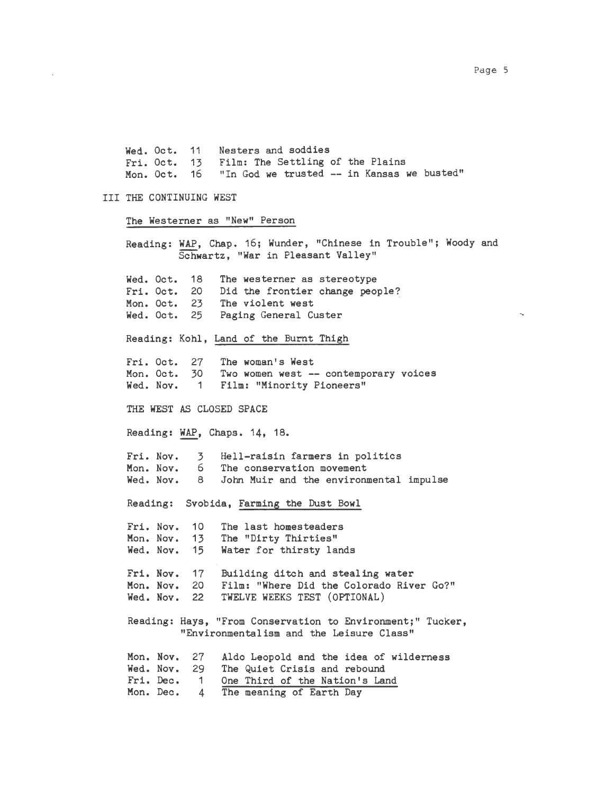Wed. Oct. 11 Fri. Oct. 13 Mon. Oct. 16 Nesters and soddies Film: The Settling of the Plains "In God we trusted -- in Kansas we busted"

# III THE CONTINUING WEST

The Westerner as "New" Person

Reading: WAP, Chap. 16; Wunder, "Chinese in Trouble"; Woody and Schwartz, "War in Pleasant Valley" Wed. Oct. 18 Fri. Oct. 20 Mon. Oct. 23 Wed. Oct. 25 Reading: Kohl, Land of the Burnt Thigh Fri. Oct. 27<br>Mon. Oct. 30 Mon. Oct. Wed. Nov. 1 The westerner as stereotype Did the frontier change people? The violent west Paging General Custer The woman's West Two women west -- contemporary voices Film: "Minority Pioneers" THE WEST AS CLOSED SPACE Reading: WAP, Chaps. 14, 18. Fri. Nov. Mon. Nov. Wed. Nov. 3 6 8 Hell-raisin farmers in politics The conservation movement John Muir and the environmental impulse Reading: Svobida, Farming the Dust Bowl Fri. Nov. 10 The last homesteaders<br>Mon. Nov. 13 The "Dirty Thirties" Mon. Nov. 13 The "Dirty Thirties"<br>Wed. Nov. 15 Water for thirsty la 15 Water for thirsty lands Fri. Nov. 17 Building ditch and stealing water Mon. Nov. 20 Film: "Where Did the Colorado River Go?"<br>Wed. Nov. 22 TWELVE WEEKS TEST (OPTIONAL) TWELVE WEEKS TEST (OPTIONAL) Reading: Hays, "From Conservation to Environment;" Tucker, "Environmentalism and the Leisure Class" Mon. Nov. 27 Wed. Nov. 29 Fri. Dec. 1 Mon. Dec. 4 Aldo Leopold and the idea of wilderness The Quiet Crisis and rebound One Third of the Nation's Land The meaning of Earth Day